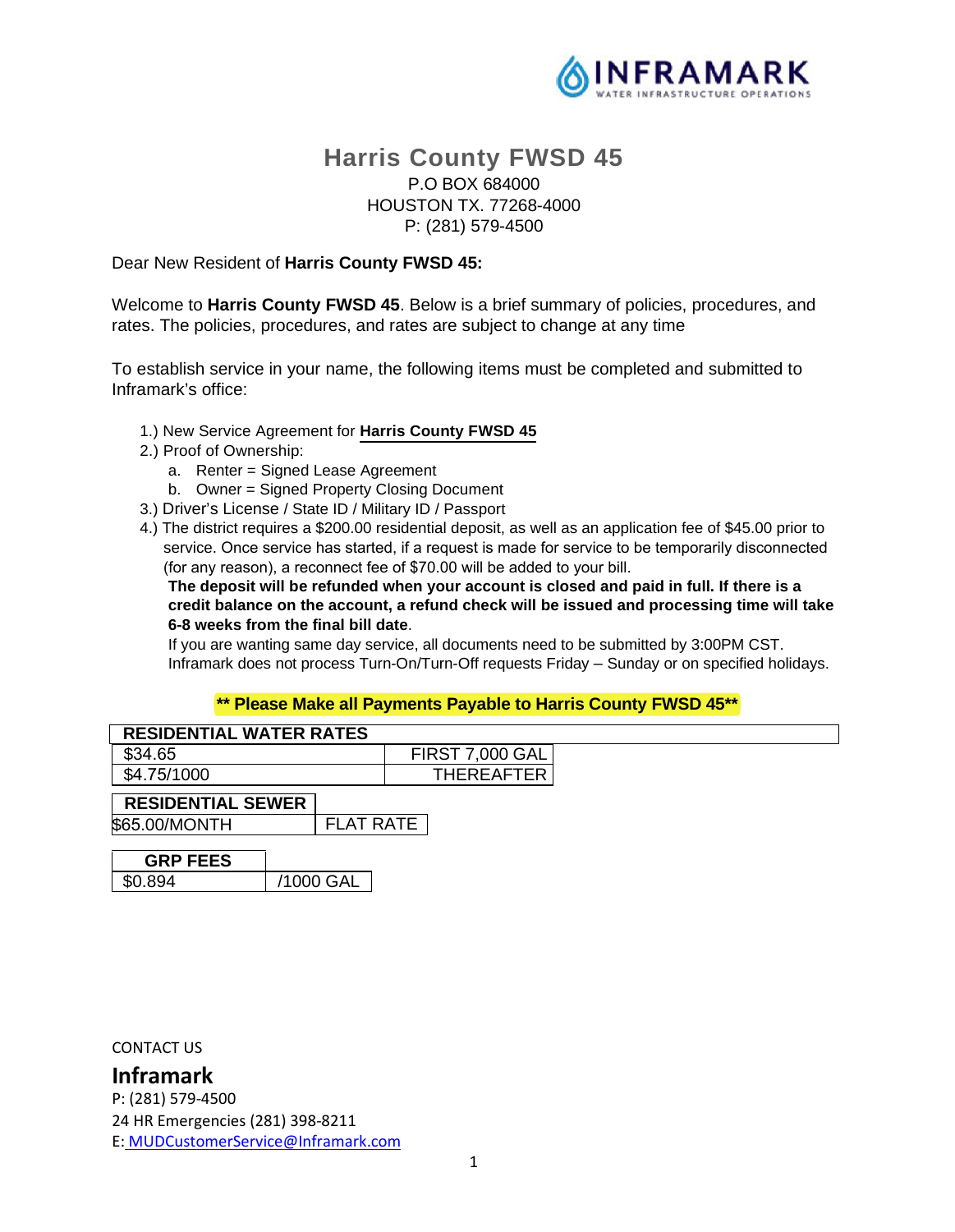

# **Harris County FWSD 45**  P.O BOX 684000 HOUSTON TX. 77268-4000 P: (281) 579-4500

Dear New Resident of **Harris County FWSD 45:**

Welcome to **Harris County FWSD 45**. Below is a brief summary of policies, procedures, and rates. The policies, procedures, and rates are subject to change at any time

To establish service in your name, the following items must be completed and submitted to Inframark's office:

- 1.) New Service Agreement for **Harris County FWSD 45**
- 2.) Proof of Ownership:
	- a. Renter = Signed Lease Agreement
	- b. Owner = Signed Property Closing Document
- 3.) Driver's License / State ID / Military ID / Passport
- 4.) The district requires a \$200.00 residential deposit, as well as an application fee of \$45.00 prior to service. Once service has started, if a request is made for service to be temporarily disconnected (for any reason), a reconnect fee of \$70.00 will be added to your bill.

**The deposit will be refunded when your account is closed and paid in full. If there is a credit balance on the account, a refund check will be issued and processing time will take 6-8 weeks from the final bill date**.

If you are wanting same day service, all documents need to be submitted by 3:00PM CST. Inframark does not process Turn-On/Turn-Off requests Friday – Sunday or on specified holidays.

#### **\*\* Please Make all Payments Payable to Harris County FWSD 45\*\***

| <b>RESIDENTIAL WATER RATES</b> |                  |                        |  |
|--------------------------------|------------------|------------------------|--|
| \$34.65                        |                  | <b>FIRST 7,000 GAL</b> |  |
| \$4.75/1000                    |                  | <b>THEREAFTER</b>      |  |
| <b>RESIDENTIAL SEWER</b>       |                  |                        |  |
| \$65.00/MONTH                  | <b>FLAT RATE</b> |                        |  |
| <b>GRP FEES</b>                |                  |                        |  |
| \$0.894                        | /1000 GAL        |                        |  |

CONTACT US

**Inframark**  P: (281) 579-4500 24 HR Emergencies (281) 398-8211 E: MUDCustomerService@Inframark.com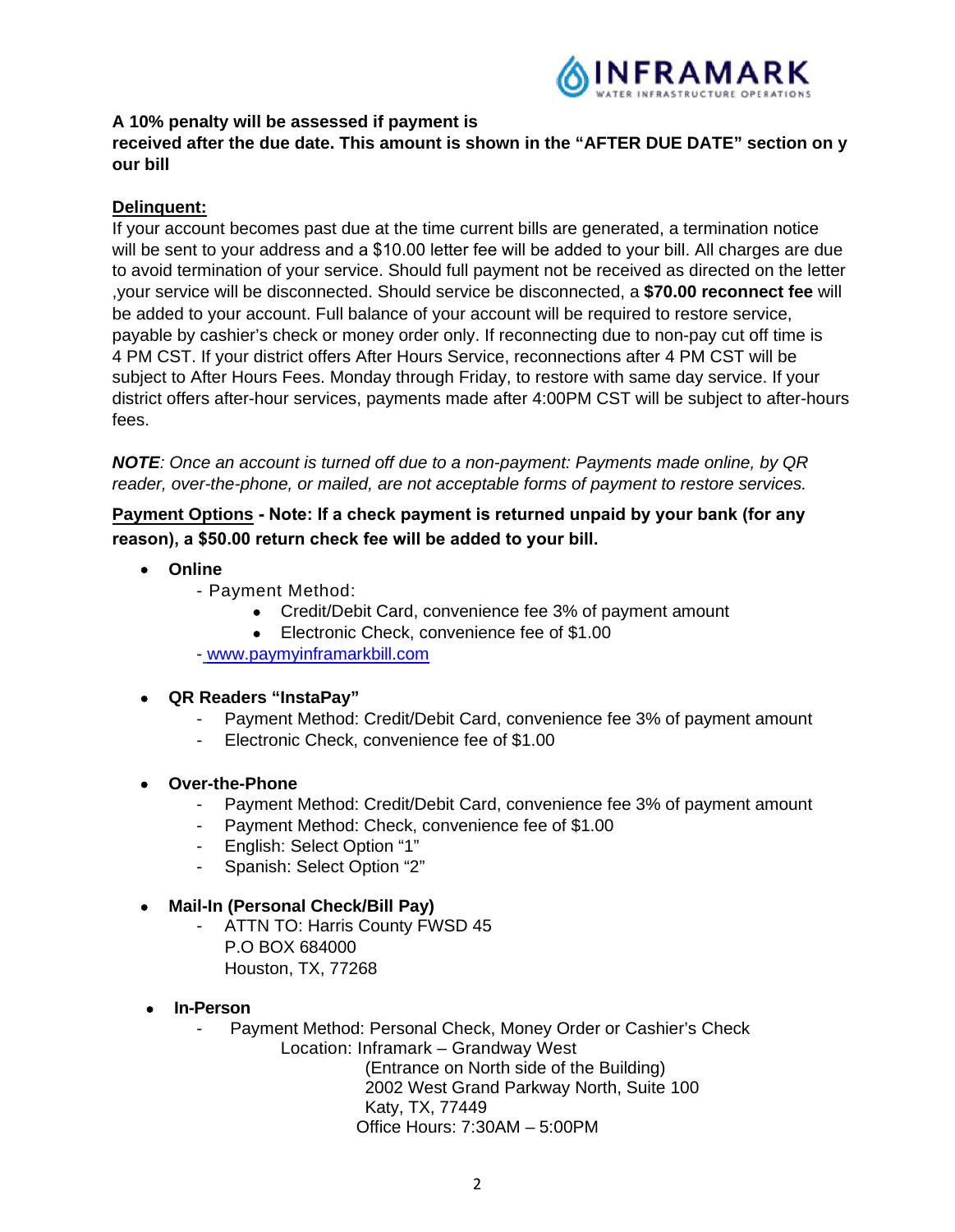

### **A 10% penalty will be assessed if payment is**

### **received after the due date. This amount is shown in the "AFTER DUE DATE" section on y our bill**

### **Delinquent:**

If your account becomes past due at the time current bills are generated, a termination notice will be sent to your address and a \$10.00 letter fee will be added to your bill. All charges are due to avoid termination of your service. Should full payment not be received as directed on the letter ,your service will be disconnected. Should service be disconnected, a **\$70.00 reconnect fee** will be added to your account. Full balance of your account will be required to restore service, payable by cashier's check or money order only. If reconnecting due to non-pay cut off time is 4 PM CST. If your district offers After Hours Service, reconnections after 4 PM CST will be subject to After Hours Fees. Monday through Friday, to restore with same day service. If your district offers after-hour services, payments made after 4:00PM CST will be subject to after-hours fees.

*NOTE: Once an account is turned off due to a non-payment: Payments made online, by QR reader, over-the-phone, or mailed, are not acceptable forms of payment to restore services.*

# **Payment Options Note: If a check payment is returned unpaid by your bank (for any reason), a \$50.00 return check fee will be added to your bill.**

- **Online**
	- Payment Method:
		- Credit/Debit Card, convenience fee 3% of payment amount
		- **Electronic Check, convenience fee of \$1.00**

- www.paymyinframarkbill.com

# **QR Readers "InstaPay"**

- Payment Method: Credit/Debit Card, convenience fee 3% of payment amount
- Electronic Check, convenience fee of \$1.00
- **Over-the-Phone**
	- Payment Method: Credit/Debit Card, convenience fee 3% of payment amount
	- Payment Method: Check, convenience fee of \$1.00
	- English: Select Option "1"
	- Spanish: Select Option "2"

### **Mail-In (Personal Check/Bill Pay)**

- ATTN TO: Harris County FWSD 45 P.O BOX 684000
	- Houston, TX, 77268
- **In-Person** 
	- Payment Method: Personal Check, Money Order or Cashier's Check

Location: Inframark – Grandway West

(Entrance on North side of the Building) 2002 West Grand Parkway North, Suite 100 Katy, TX, 77449 Office Hours: 7:30AM – 5:00PM